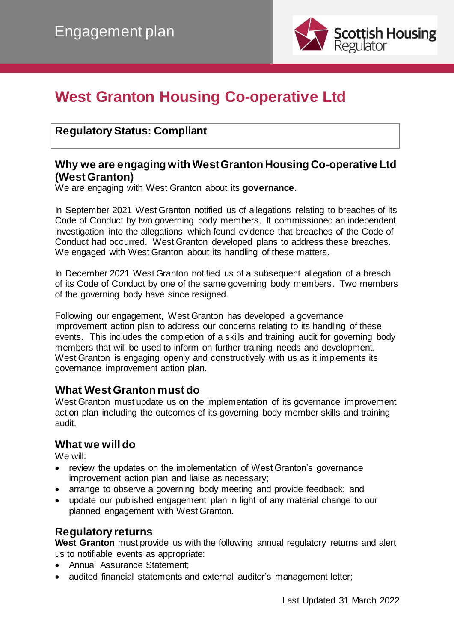

# **West Granton Housing Co-operative Ltd**

## **Regulatory Status: Compliant**

## **Why we are engaging with West Granton Housing Co-operative Ltd (West Granton)**

We are engaging with West Granton about its **governance**.

In September 2021 West Granton notified us of allegations relating to breaches of its Code of Conduct by two governing body members. It commissioned an independent investigation into the allegations which found evidence that breaches of the Code of Conduct had occurred. West Granton developed plans to address these breaches. We engaged with West Granton about its handling of these matters.

In December 2021 West Granton notified us of a subsequent allegation of a breach of its Code of Conduct by one of the same governing body members. Two members of the governing body have since resigned.

Following our engagement, West Granton has developed a governance improvement action plan to address our concerns relating to its handling of these events. This includes the completion of a skills and training audit for governing body members that will be used to inform on further training needs and development. West Granton is engaging openly and constructively with us as it implements its governance improvement action plan.

### **What West Granton must do**

West Granton must update us on the implementation of its governance improvement action plan including the outcomes of its governing body member skills and training audit.

## **What we will do**

We will:

- review the updates on the implementation of West Granton's governance improvement action plan and liaise as necessary;
- arrange to observe a governing body meeting and provide feedback; and
- update our published engagement plan in light of any material change to our planned engagement with West Granton.

## **Regulatory returns**

**West Granton** must provide us with the following annual regulatory returns and alert us to notifiable events as appropriate:

- Annual Assurance Statement;
- audited financial statements and external auditor's management letter;